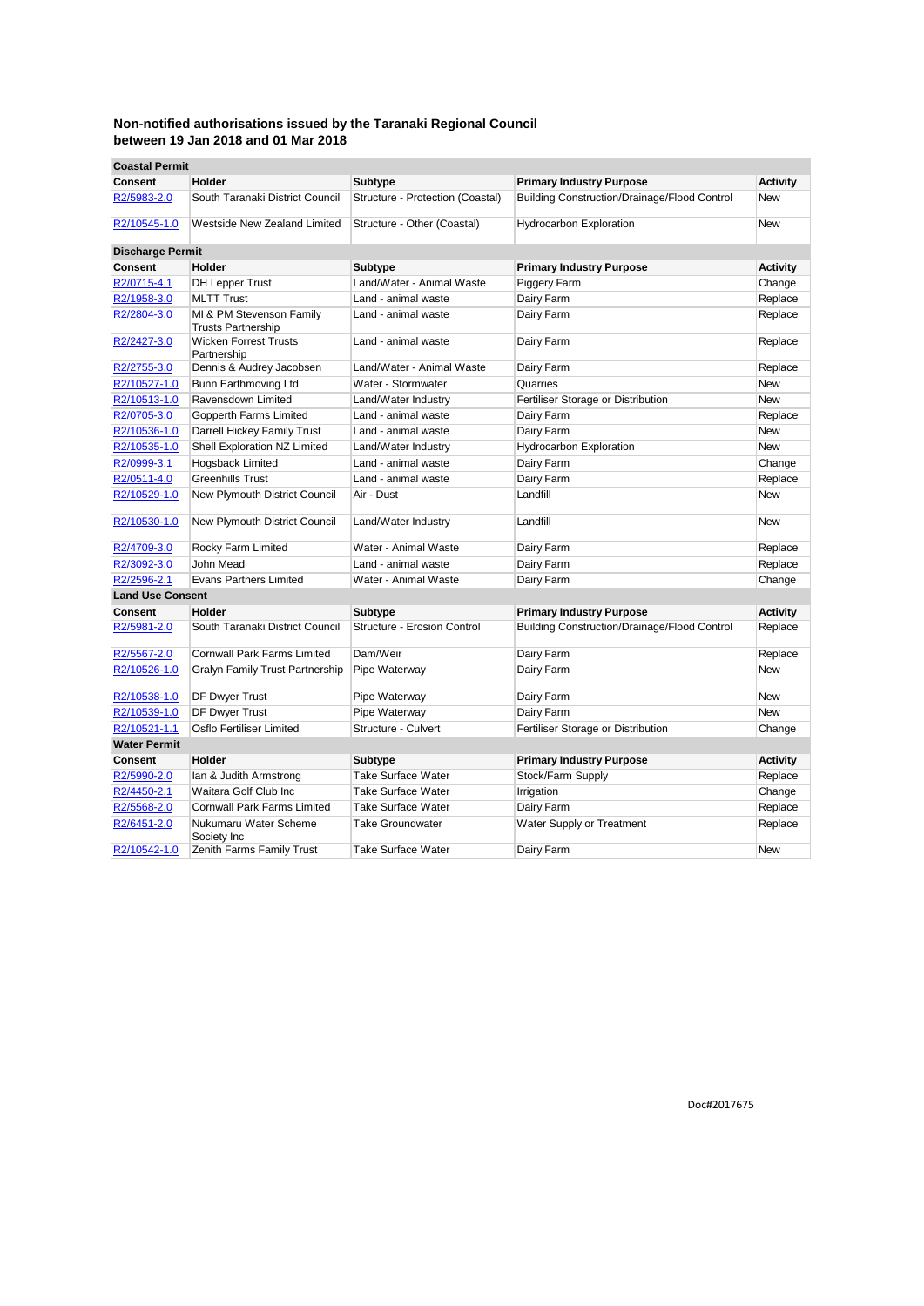| <b>Coastal Permit</b>   |                                                       |                                  |                                              |                 |
|-------------------------|-------------------------------------------------------|----------------------------------|----------------------------------------------|-----------------|
| <b>Consent</b>          | Holder                                                | <b>Subtype</b>                   | <b>Primary Industry Purpose</b>              | <b>Activity</b> |
| R2/5983-2.0             | South Taranaki District Council                       | Structure - Protection (Coastal) | Building Construction/Drainage/Flood Control | <b>New</b>      |
| R2/10545-1.0            | Westside New Zealand Limited                          | Structure - Other (Coastal)      | <b>Hydrocarbon Exploration</b>               | New             |
| <b>Discharge Permit</b> |                                                       |                                  |                                              |                 |
| Consent                 | Holder                                                | <b>Subtype</b>                   | <b>Primary Industry Purpose</b>              | <b>Activity</b> |
| R2/0715-4.1             | DH Lepper Trust                                       | Land/Water - Animal Waste        | Piggery Farm                                 | Change          |
| R2/1958-3.0             | <b>MLTT Trust</b>                                     | Land - animal waste              | Dairy Farm                                   | Replace         |
| R2/2804-3.0             | MI & PM Stevenson Family<br><b>Trusts Partnership</b> | Land - animal waste              | Dairy Farm                                   | Replace         |
| R2/2427-3.0             | <b>Wicken Forrest Trusts</b><br>Partnership           | Land - animal waste              | Dairy Farm                                   | Replace         |
| R2/2755-3.0             | Dennis & Audrey Jacobsen                              | Land/Water - Animal Waste        | Dairy Farm                                   | Replace         |
| R2/10527-1.0            | Bunn Earthmoving Ltd                                  | Water - Stormwater               | Quarries                                     | <b>New</b>      |
| R2/10513-1.0            | Ravensdown Limited                                    | Land/Water Industry              | Fertiliser Storage or Distribution           | <b>New</b>      |
| R2/0705-3.0             | Gopperth Farms Limited                                | Land - animal waste              | Dairy Farm                                   | Replace         |
| R2/10536-1.0            | Darrell Hickey Family Trust                           | Land - animal waste              | Dairy Farm                                   | New             |
| R2/10535-1.0            | Shell Exploration NZ Limited                          | Land/Water Industry              | <b>Hydrocarbon Exploration</b>               | <b>New</b>      |
| R2/0999-3.1             | Hogsback Limited                                      | Land - animal waste              | Dairy Farm                                   | Change          |
| R2/0511-4.0             | <b>Greenhills Trust</b>                               | Land - animal waste              | Dairy Farm                                   | Replace         |
| R2/10529-1.0            | New Plymouth District Council                         | Air - Dust                       | Landfill                                     | New             |
| R2/10530-1.0            | New Plymouth District Council                         | Land/Water Industry              | Landfill                                     | New             |
| R2/4709-3.0             | Rocky Farm Limited                                    | Water - Animal Waste             | Dairy Farm                                   | Replace         |
| R2/3092-3.0             | John Mead                                             | Land - animal waste              | Dairy Farm                                   | Replace         |
| R2/2596-2.1             | <b>Evans Partners Limited</b>                         | Water - Animal Waste             | Dairy Farm                                   | Change          |
| <b>Land Use Consent</b> |                                                       |                                  |                                              |                 |
| Consent                 | Holder                                                | <b>Subtype</b>                   | <b>Primary Industry Purpose</b>              | <b>Activity</b> |
| R2/5981-2.0             | South Taranaki District Council                       | Structure - Erosion Control      | Building Construction/Drainage/Flood Control | Replace         |
| R2/5567-2.0             | <b>Cornwall Park Farms Limited</b>                    | Dam/Weir                         | Dairy Farm                                   | Replace         |
| R2/10526-1.0            | Gralyn Family Trust Partnership                       | Pipe Waterway                    | Dairy Farm                                   | New             |
| R2/10538-1.0            | DF Dwyer Trust                                        | Pipe Waterway                    | Dairy Farm                                   | <b>New</b>      |
| R2/10539-1.0            | DF Dwyer Trust                                        | Pipe Waterway                    | Dairy Farm                                   | New             |
| R2/10521-1.1            | Osflo Fertiliser Limited                              | Structure - Culvert              | Fertiliser Storage or Distribution           | Change          |
| <b>Water Permit</b>     |                                                       |                                  |                                              |                 |
| <b>Consent</b>          | Holder                                                | <b>Subtype</b>                   | <b>Primary Industry Purpose</b>              | <b>Activity</b> |
| R2/5990-2.0             | lan & Judith Armstrong                                | <b>Take Surface Water</b>        | Stock/Farm Supply                            | Replace         |
| R2/4450-2.1             | Waitara Golf Club Inc                                 | <b>Take Surface Water</b>        | Irrigation                                   | Change          |
| R2/5568-2.0             | <b>Cornwall Park Farms Limited</b>                    | <b>Take Surface Water</b>        | Dairy Farm                                   | Replace         |
| R2/6451-2.0             | Nukumaru Water Scheme<br>Society Inc                  | Take Groundwater                 | Water Supply or Treatment                    | Replace         |
| R2/10542-1.0            | Zenith Farms Family Trust                             | <b>Take Surface Water</b>        | Dairy Farm                                   | New             |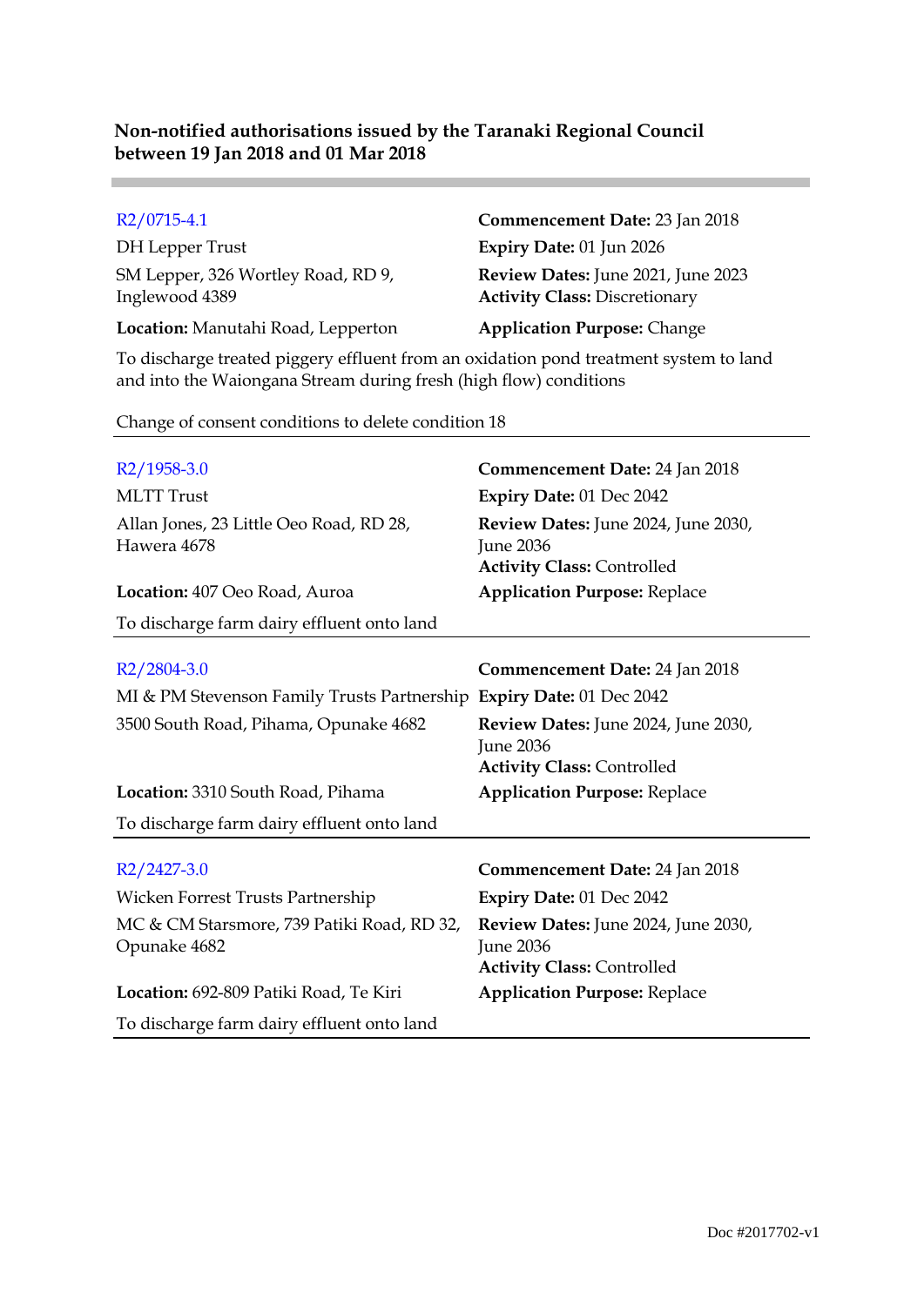| $R2/0715-4.1$                                        | Commencement Date: 23 Jan 2018                                             |
|------------------------------------------------------|----------------------------------------------------------------------------|
| DH Lepper Trust                                      | Expiry Date: 01 Jun 2026                                                   |
| SM Lepper, 326 Wortley Road, RD 9,<br>Inglewood 4389 | Review Dates: June 2021, June 2023<br><b>Activity Class: Discretionary</b> |
| Location: Manutahi Road, Lepperton                   | <b>Application Purpose: Change</b>                                         |

To discharge treated piggery effluent from an oxidation pond treatment system to land and into the Waiongana Stream during fresh (high flow) conditions

Change of consent conditions to delete condition 18

**Contract** 

| $R2/1958-3.0$                                                        | Commencement Date: 24 Jan 2018                                                               |
|----------------------------------------------------------------------|----------------------------------------------------------------------------------------------|
| <b>MLTT</b> Trust                                                    | Expiry Date: 01 Dec 2042                                                                     |
| Allan Jones, 23 Little Oeo Road, RD 28,<br>Hawera 4678               | Review Dates: June 2024, June 2030,<br><b>June 2036</b><br><b>Activity Class: Controlled</b> |
| Location: 407 Oeo Road, Auroa                                        | <b>Application Purpose: Replace</b>                                                          |
| To discharge farm dairy effluent onto land                           |                                                                                              |
| $R2/2804-3.0$                                                        | <b>Commencement Date: 24 Jan 2018</b>                                                        |
| MI & PM Stevenson Family Trusts Partnership Expiry Date: 01 Dec 2042 |                                                                                              |
| 3500 South Road, Pihama, Opunake 4682                                | Review Dates: June 2024, June 2030,<br><b>June 2036</b><br><b>Activity Class: Controlled</b> |
| Location: 3310 South Road, Pihama                                    | <b>Application Purpose: Replace</b>                                                          |
| To discharge farm dairy effluent onto land                           |                                                                                              |
| $R2/2427-3.0$                                                        | <b>Commencement Date: 24 Jan 2018</b>                                                        |
| Wicken Forrest Trusts Partnership                                    | Expiry Date: 01 Dec 2042                                                                     |
| MC & CM Starsmore, 739 Patiki Road, RD 32,<br>Opunake 4682           | Review Dates: June 2024, June 2030,<br><b>June 2036</b>                                      |
| Location: 692-809 Patiki Road, Te Kiri                               | <b>Activity Class: Controlled</b><br><b>Application Purpose: Replace</b>                     |
| To discharge farm dairy effluent onto land                           |                                                                                              |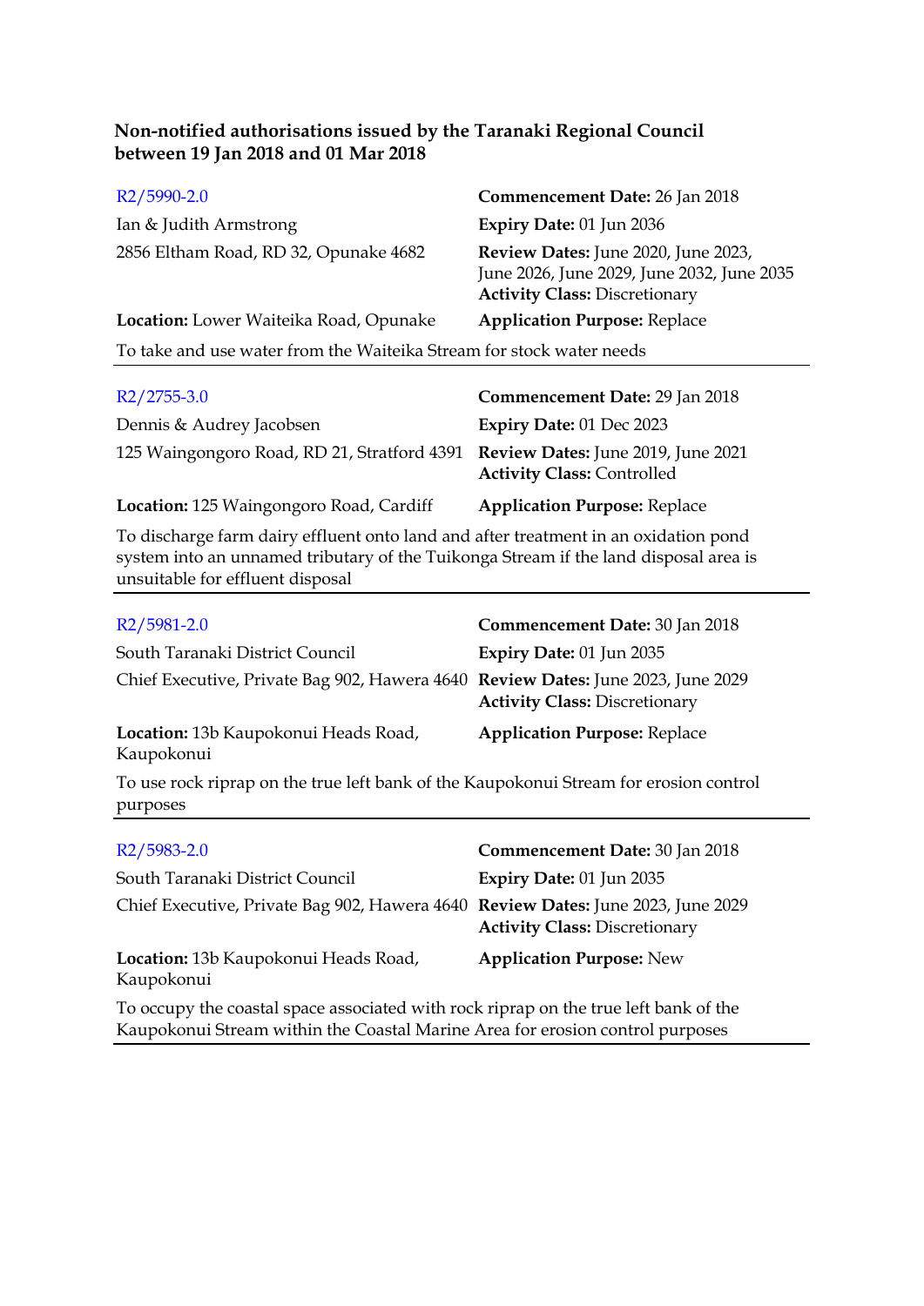| $R2/5990-2.0$                                                        | Commencement Date: 26 Jan 2018                                                                                            |  |
|----------------------------------------------------------------------|---------------------------------------------------------------------------------------------------------------------------|--|
| Ian & Judith Armstrong                                               | Expiry Date: 01 Jun 2036                                                                                                  |  |
| 2856 Eltham Road, RD 32, Opunake 4682                                | Review Dates: June 2020, June 2023,<br>June 2026, June 2029, June 2032, June 2035<br><b>Activity Class: Discretionary</b> |  |
| Location: Lower Waiteika Road, Opunake                               | <b>Application Purpose: Replace</b>                                                                                       |  |
| To take and use water from the Waiteika Stream for stock water needs |                                                                                                                           |  |
| D2/275520                                                            | Commonsement Date: 20 Jan 2018                                                                                            |  |

| $R2/2755-3.0$                                                                  | Commencement Date: 29 Jan 2018      |
|--------------------------------------------------------------------------------|-------------------------------------|
| Dennis & Audrey Jacobsen                                                       | <b>Expiry Date: 01 Dec 2023</b>     |
| 125 Waingongoro Road, RD 21, Stratford 4391 Review Dates: June 2019, June 2021 | <b>Activity Class: Controlled</b>   |
| Location: 125 Waingongoro Road, Cardiff                                        | <b>Application Purpose: Replace</b> |

To discharge farm dairy effluent onto land and after treatment in an oxidation pond system into an unnamed tributary of the Tuikonga Stream if the land disposal area is unsuitable for effluent disposal

| R <sub>2</sub> /5981-2.0                                                                          | Commencement Date: 30 Jan 2018       |
|---------------------------------------------------------------------------------------------------|--------------------------------------|
| South Taranaki District Council                                                                   | Expiry Date: 01 Jun 2035             |
| Chief Executive, Private Bag 902, Hawera 4640 Review Dates: June 2023, June 2029                  | <b>Activity Class: Discretionary</b> |
| Location: 13b Kaupokonui Heads Road,<br>Kaupokonui                                                | <b>Application Purpose: Replace</b>  |
| To use rock riprap on the true left bank of the Kaupokonui Stream for erosion control<br>purposes |                                      |

| R <sub>2</sub> /5983-2.0                                                             | Commencement Date: 30 Jan 2018       |  |
|--------------------------------------------------------------------------------------|--------------------------------------|--|
| South Taranaki District Council                                                      | Expiry Date: 01 Jun 2035             |  |
| Chief Executive, Private Bag 902, Hawera 4640 Review Dates: June 2023, June 2029     | <b>Activity Class: Discretionary</b> |  |
| Location: 13b Kaupokonui Heads Road,<br>Kaupokonui                                   | <b>Application Purpose: New</b>      |  |
| To occupy the coastal space associated with rock riprap on the true left bank of the |                                      |  |

Kaupokonui Stream within the Coastal Marine Area for erosion control purposes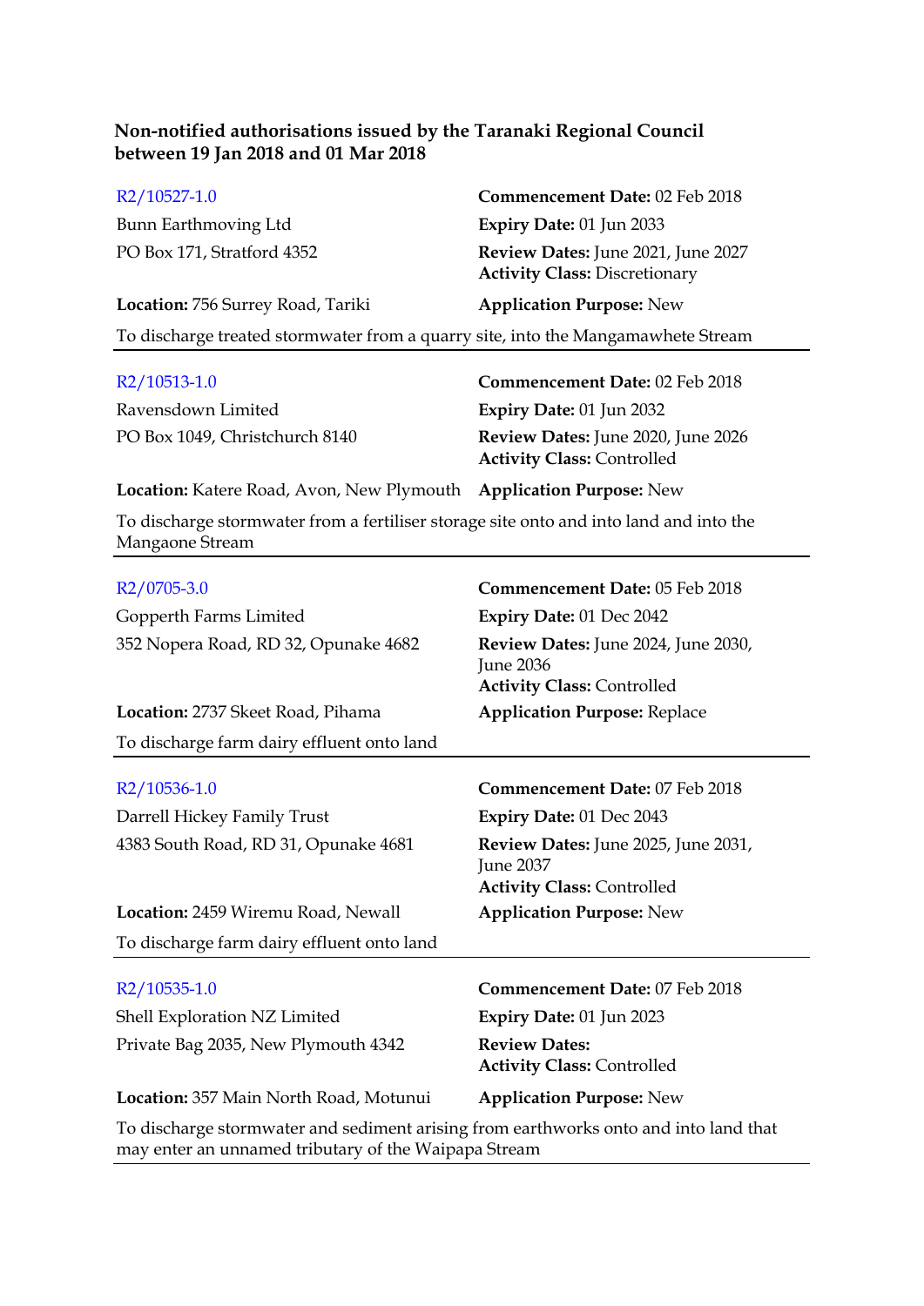| R2/10527-1.0                                                                     | Commencement Date: 02 Feb 2018                                             |  |
|----------------------------------------------------------------------------------|----------------------------------------------------------------------------|--|
| Bunn Earthmoving Ltd                                                             | Expiry Date: 01 Jun 2033                                                   |  |
| PO Box 171, Stratford 4352                                                       | Review Dates: June 2021, June 2027<br><b>Activity Class: Discretionary</b> |  |
| Location: 756 Surrey Road, Tariki                                                | <b>Application Purpose: New</b>                                            |  |
| To discharge treated stormwater from a quarry site, into the Mangamawhete Stream |                                                                            |  |
|                                                                                  |                                                                            |  |

| R2/10513-1.0                   | <b>Commencement Date: 02 Feb 2018</b>                                          |
|--------------------------------|--------------------------------------------------------------------------------|
| Ravensdown Limited             | Expiry Date: $01$ Jun 2032                                                     |
| PO Box 1049, Christchurch 8140 | <b>Review Dates:</b> June 2020, June 2026<br><b>Activity Class: Controlled</b> |

**Location:** Katere Road, Avon, New Plymouth **Application Purpose:** New

To discharge stormwater from a fertiliser storage site onto and into land and into the Mangaone Stream

| R2/0705-3.0                                                                          | Commencement Date: 05 Feb 2018                                                               |  |
|--------------------------------------------------------------------------------------|----------------------------------------------------------------------------------------------|--|
| Gopperth Farms Limited                                                               | Expiry Date: 01 Dec 2042                                                                     |  |
| 352 Nopera Road, RD 32, Opunake 4682                                                 | Review Dates: June 2024, June 2030,<br><b>June 2036</b><br><b>Activity Class: Controlled</b> |  |
| Location: 2737 Skeet Road, Pihama                                                    | <b>Application Purpose: Replace</b>                                                          |  |
| To discharge farm dairy effluent onto land                                           |                                                                                              |  |
| R2/10536-1.0                                                                         | Commencement Date: 07 Feb 2018                                                               |  |
| Darrell Hickey Family Trust                                                          | Expiry Date: 01 Dec 2043                                                                     |  |
| 4383 South Road, RD 31, Opunake 4681                                                 | Review Dates: June 2025, June 2031,<br><b>June 2037</b><br><b>Activity Class: Controlled</b> |  |
| Location: 2459 Wiremu Road, Newall                                                   | <b>Application Purpose: New</b>                                                              |  |
| To discharge farm dairy effluent onto land                                           |                                                                                              |  |
| R2/10535-1.0                                                                         | <b>Commencement Date: 07 Feb 2018</b>                                                        |  |
| Shell Exploration NZ Limited                                                         | <b>Expiry Date: 01 Jun 2023</b>                                                              |  |
| Private Bag 2035, New Plymouth 4342                                                  | <b>Review Dates:</b><br><b>Activity Class: Controlled</b>                                    |  |
| Location: 357 Main North Road, Motunui                                               | <b>Application Purpose: New</b>                                                              |  |
| To discharge stormwater and sediment arising from earthworks onto and into land that |                                                                                              |  |

may enter an unnamed tributary of the Waipapa Stream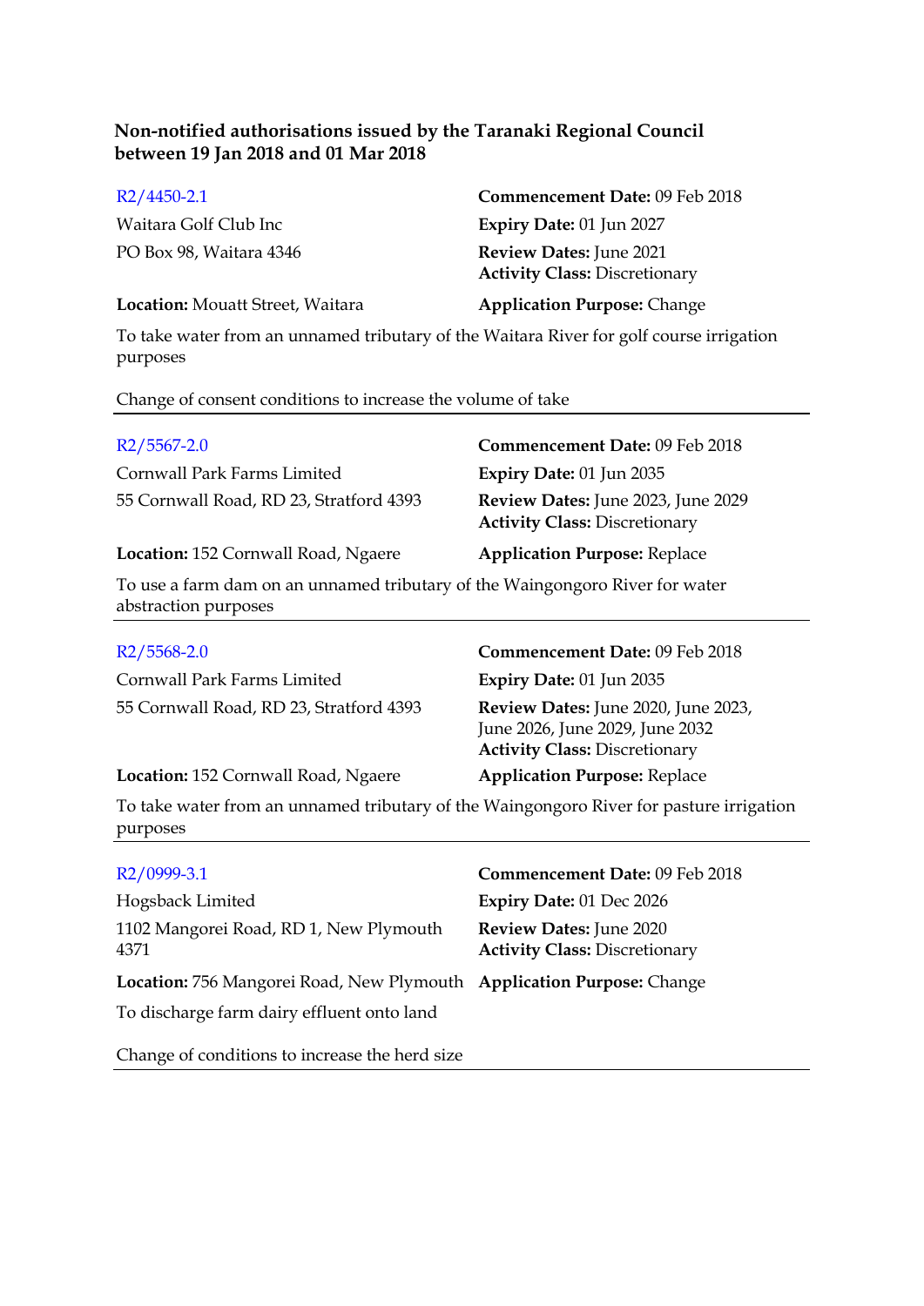| $R2/4450-2.1$                    | Commencement Date: 09 Feb 2018                                         |
|----------------------------------|------------------------------------------------------------------------|
| Waitara Golf Club Inc            | <b>Expiry Date: 01 Jun 2027</b>                                        |
| PO Box 98, Waitara 4346          | <b>Review Dates:</b> June 2021<br><b>Activity Class: Discretionary</b> |
| Location: Mouatt Street, Waitara | <b>Application Purpose: Change</b>                                     |

To take water from an unnamed tributary of the Waitara River for golf course irrigation purposes

Change of consent conditions to increase the volume of take

| $R2/5567-2.0$                                                                                        | Commencement Date: 09 Feb 2018                                                                                 |
|------------------------------------------------------------------------------------------------------|----------------------------------------------------------------------------------------------------------------|
| Cornwall Park Farms Limited                                                                          | Expiry Date: 01 Jun 2035                                                                                       |
| 55 Cornwall Road, RD 23, Stratford 4393                                                              | Review Dates: June 2023, June 2029<br><b>Activity Class: Discretionary</b>                                     |
| Location: 152 Cornwall Road, Ngaere                                                                  | <b>Application Purpose: Replace</b>                                                                            |
| To use a farm dam on an unnamed tributary of the Waingongoro River for water<br>abstraction purposes |                                                                                                                |
| $R2/5568-2.0$                                                                                        | Commencement Date: 09 Feb 2018                                                                                 |
| Cornwall Park Farms Limited                                                                          | Expiry Date: 01 Jun 2035                                                                                       |
| 55 Cornwall Road, RD 23, Stratford 4393                                                              | Review Dates: June 2020, June 2023,<br>June 2026, June 2029, June 2032<br><b>Activity Class: Discretionary</b> |
| Location: 152 Cornwall Road, Ngaere                                                                  | <b>Application Purpose: Replace</b>                                                                            |
| To take water from an unnamed tributery of the Weingengere Diver for pecture investion               |                                                                                                                |

To take water from an unnamed tributary of the Waingongoro River for pasture irrigation purposes

| R2/0999-3.1                                                                                                         | Commencement Date: 09 Feb 2018                                  |
|---------------------------------------------------------------------------------------------------------------------|-----------------------------------------------------------------|
| Hogsback Limited                                                                                                    | Expiry Date: 01 Dec 2026                                        |
| 1102 Mangorei Road, RD 1, New Plymouth<br>4371                                                                      | Review Dates: June 2020<br><b>Activity Class: Discretionary</b> |
| Location: 756 Mangorei Road, New Plymouth Application Purpose: Change<br>To discharge farm dairy effluent onto land |                                                                 |
| Change of conditions to increase the herd size                                                                      |                                                                 |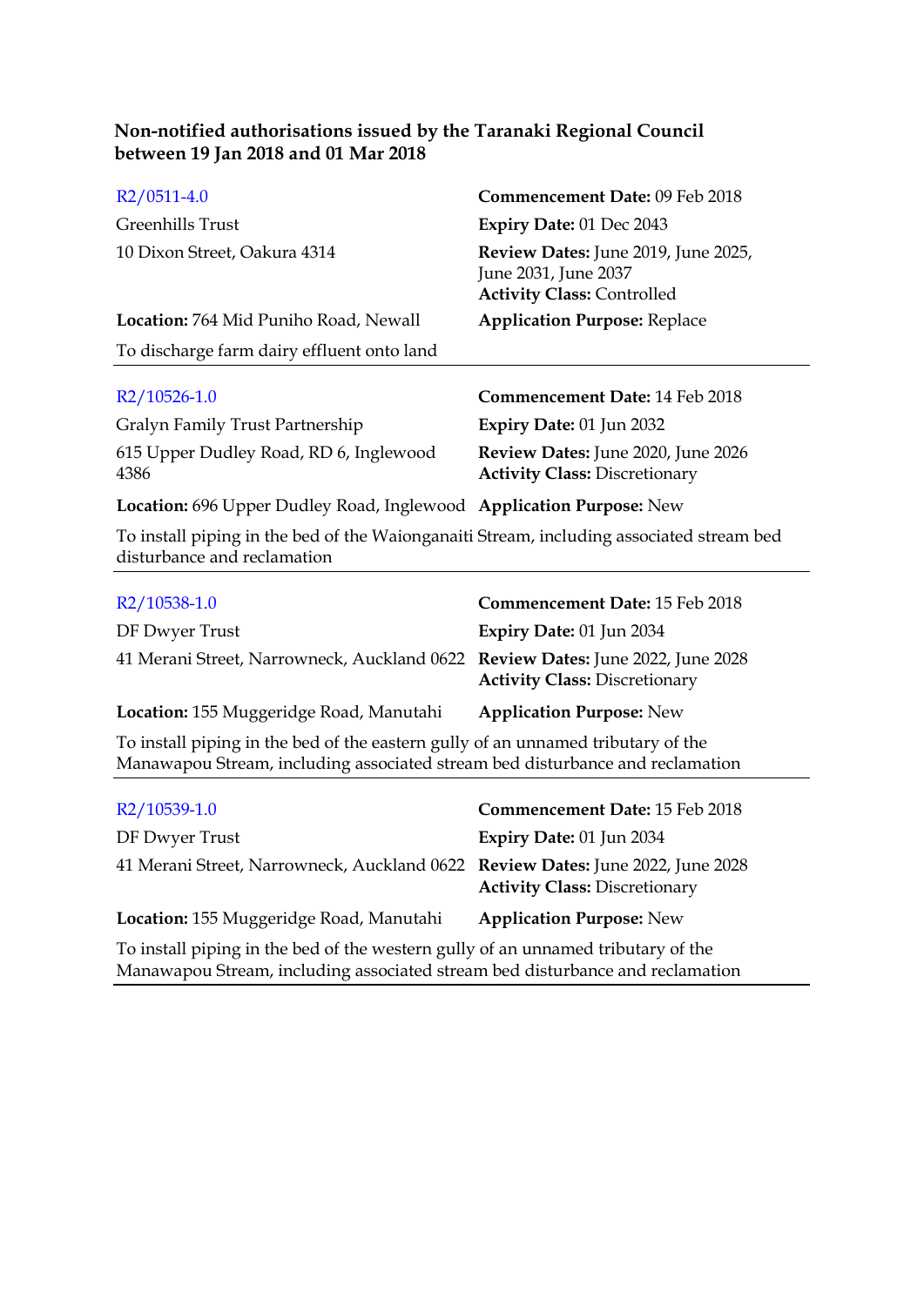| R2/0511-4.0                                                                                                                                                       | Commencement Date: 09 Feb 2018                                                                   |
|-------------------------------------------------------------------------------------------------------------------------------------------------------------------|--------------------------------------------------------------------------------------------------|
| Greenhills Trust                                                                                                                                                  | Expiry Date: 01 Dec 2043                                                                         |
| 10 Dixon Street, Oakura 4314                                                                                                                                      | Review Dates: June 2019, June 2025,<br>June 2031, June 2037<br><b>Activity Class: Controlled</b> |
| Location: 764 Mid Puniho Road, Newall                                                                                                                             | <b>Application Purpose: Replace</b>                                                              |
| To discharge farm dairy effluent onto land                                                                                                                        |                                                                                                  |
| R2/10526-1.0                                                                                                                                                      | <b>Commencement Date: 14 Feb 2018</b>                                                            |
| Gralyn Family Trust Partnership                                                                                                                                   | Expiry Date: 01 Jun 2032                                                                         |
| 615 Upper Dudley Road, RD 6, Inglewood<br>4386                                                                                                                    | Review Dates: June 2020, June 2026<br><b>Activity Class: Discretionary</b>                       |
| Location: 696 Upper Dudley Road, Inglewood Application Purpose: New                                                                                               |                                                                                                  |
| To install piping in the bed of the Waionganaiti Stream, including associated stream bed<br>disturbance and reclamation                                           |                                                                                                  |
| R2/10538-1.0                                                                                                                                                      | Commencement Date: 15 Feb 2018                                                                   |
| DF Dwyer Trust                                                                                                                                                    | Expiry Date: 01 Jun 2034                                                                         |
| 41 Merani Street, Narrowneck, Auckland 0622 Review Dates: June 2022, June 2028                                                                                    | <b>Activity Class: Discretionary</b>                                                             |
| Location: 155 Muggeridge Road, Manutahi                                                                                                                           | <b>Application Purpose: New</b>                                                                  |
| To install piping in the bed of the eastern gully of an unnamed tributary of the<br>Manawapou Stream, including associated stream bed disturbance and reclamation |                                                                                                  |
| R2/10539-1.0                                                                                                                                                      | Commencement Date: 15 Feb 2018                                                                   |
| DF Dwyer Trust                                                                                                                                                    | Expiry Date: 01 Jun 2034                                                                         |
| 41 Merani Street, Narrowneck, Auckland 0622 Review Dates: June 2022, June 2028                                                                                    |                                                                                                  |

**Activity Class:** Discretionary **Location:** 155 Muggeridge Road, Manutahi **Application Purpose:** New

To install piping in the bed of the western gully of an unnamed tributary of the Manawapou Stream, including associated stream bed disturbance and reclamation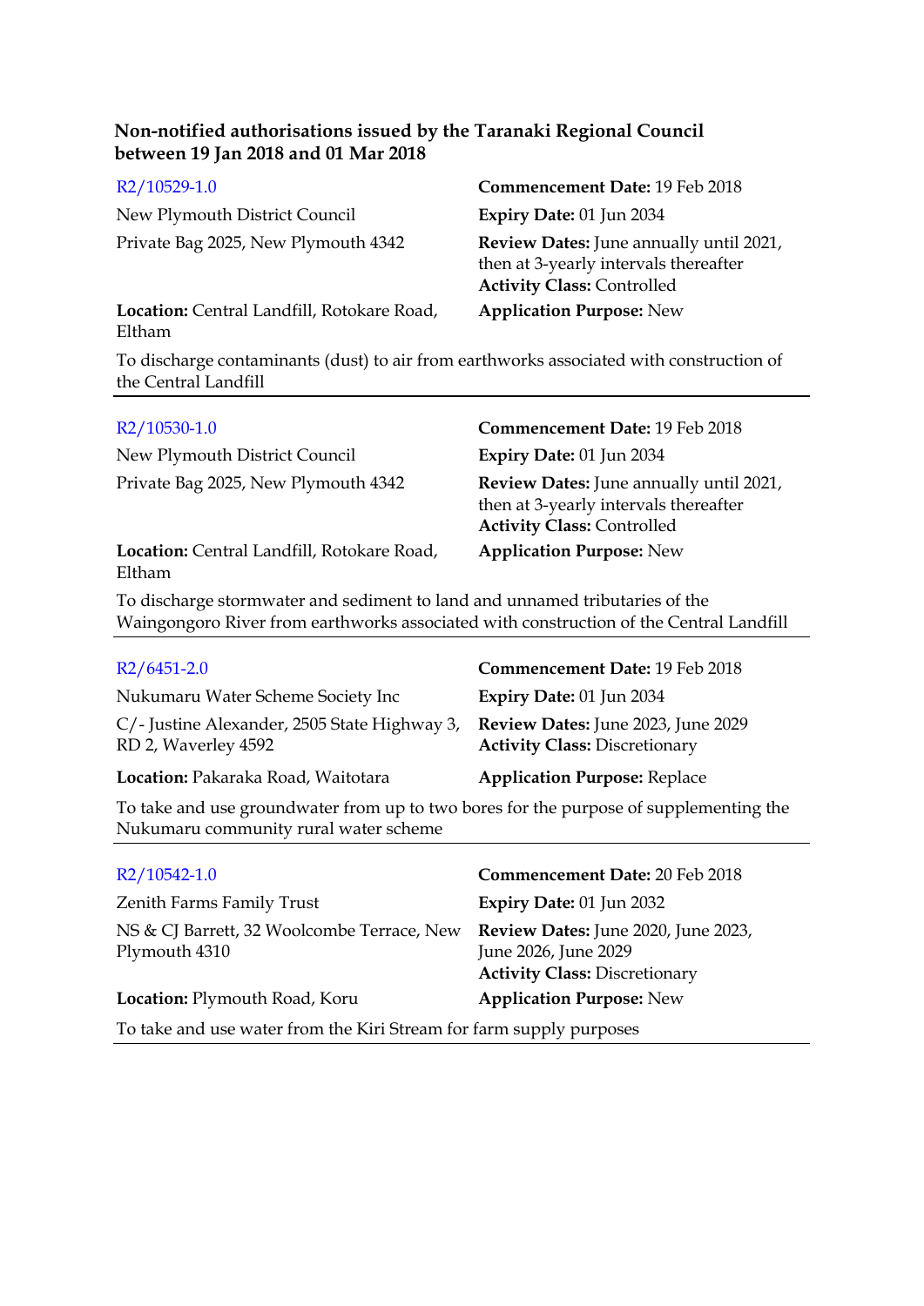| R2/10529-1.0                                         | Commencement Date: 19 Feb 2018                                                                                        |
|------------------------------------------------------|-----------------------------------------------------------------------------------------------------------------------|
| New Plymouth District Council                        | Expiry Date: 01 Jun 2034                                                                                              |
| Private Bag 2025, New Plymouth 4342                  | Review Dates: June annually until 2021,<br>then at 3-yearly intervals thereafter<br><b>Activity Class: Controlled</b> |
| Location: Central Landfill, Rotokare Road,<br>Eltham | <b>Application Purpose: New</b>                                                                                       |

To discharge contaminants (dust) to air from earthworks associated with construction of the Central Landfill

| $R2/10530-1.0$                                       | <b>Commencement Date: 19 Feb 2018</b>                                                                                 |
|------------------------------------------------------|-----------------------------------------------------------------------------------------------------------------------|
| New Plymouth District Council                        | <b>Expiry Date: 01 Jun 2034</b>                                                                                       |
| Private Bag 2025, New Plymouth 4342                  | Review Dates: June annually until 2021,<br>then at 3-yearly intervals thereafter<br><b>Activity Class: Controlled</b> |
| Location: Central Landfill, Rotokare Road,<br>Eltham | <b>Application Purpose: New</b>                                                                                       |

To discharge stormwater and sediment to land and unnamed tributaries of the Waingongoro River from earthworks associated with construction of the Central Landfill

| $R2/6451-2.0$                                                       | <b>Commencement Date: 19 Feb 2018</b>                                      |
|---------------------------------------------------------------------|----------------------------------------------------------------------------|
| Nukumaru Water Scheme Society Inc                                   | Expiry Date: 01 Jun 2034                                                   |
| C/- Justine Alexander, 2505 State Highway 3,<br>RD 2, Waverley 4592 | Review Dates: June 2023, June 2029<br><b>Activity Class: Discretionary</b> |
| Location: Pakaraka Road, Waitotara                                  | <b>Application Purpose: Replace</b>                                        |
|                                                                     |                                                                            |

To take and use groundwater from up to two bores for the purpose of supplementing the Nukumaru community rural water scheme

| $R2/10542-1.0$                                                      | Commencement Date: 20 Feb 2018                                                                      |
|---------------------------------------------------------------------|-----------------------------------------------------------------------------------------------------|
| Zenith Farms Family Trust                                           | Expiry Date: 01 Jun 2032                                                                            |
| NS & CJ Barrett, 32 Woolcombe Terrace, New<br>Plymouth 4310         | Review Dates: June 2020, June 2023,<br>June 2026, June 2029<br><b>Activity Class: Discretionary</b> |
| Location: Plymouth Road, Koru                                       | <b>Application Purpose: New</b>                                                                     |
| To take and use water from the Kiri Stream for farm supply purposes |                                                                                                     |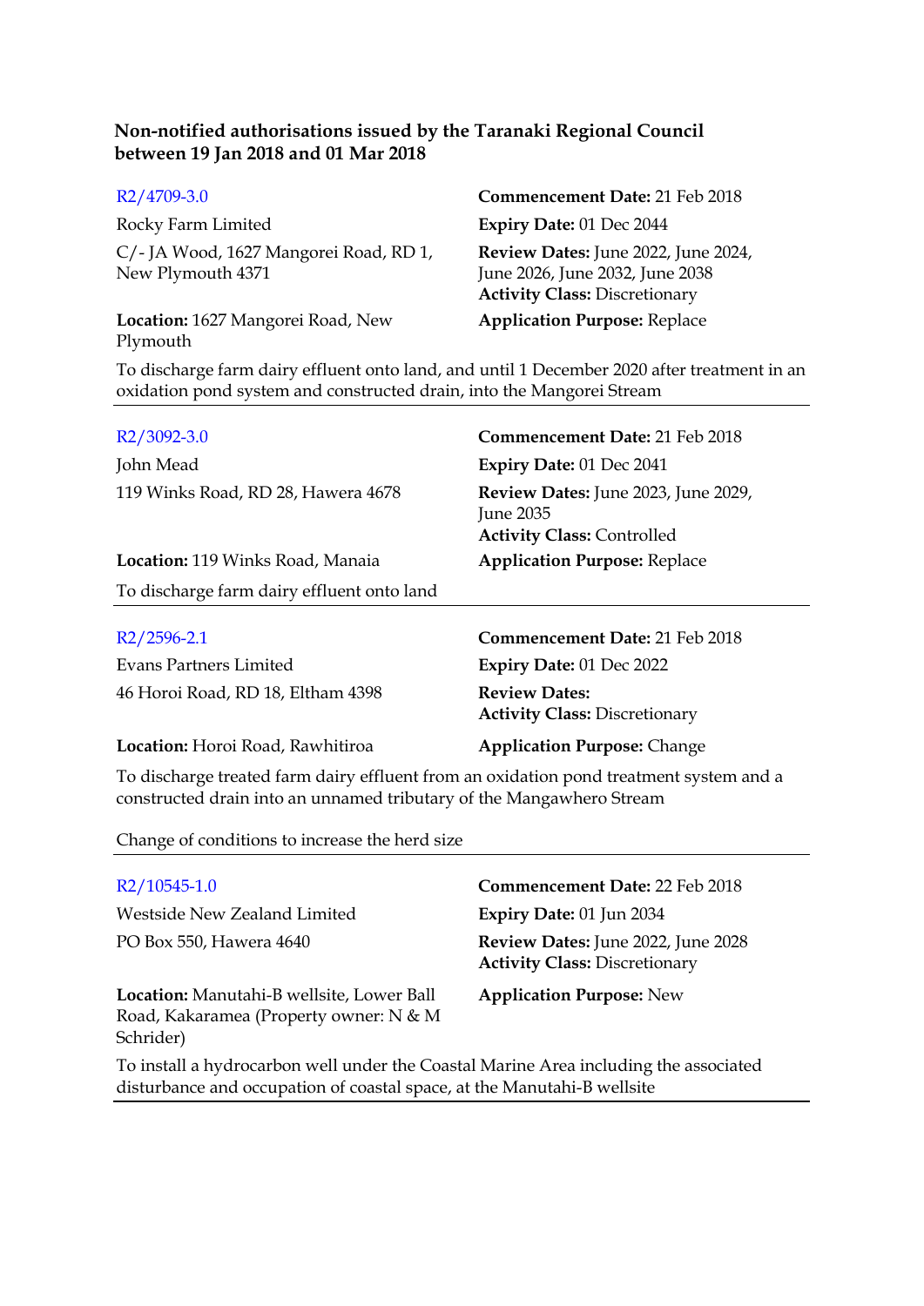| R2/4709-3.0                                                                                                                                                                                                                  | Commencement Date: 21 Feb 2018                                                                                 |
|------------------------------------------------------------------------------------------------------------------------------------------------------------------------------------------------------------------------------|----------------------------------------------------------------------------------------------------------------|
| Rocky Farm Limited                                                                                                                                                                                                           | Expiry Date: 01 Dec 2044                                                                                       |
| C/-JA Wood, 1627 Mangorei Road, RD 1,<br>New Plymouth 4371                                                                                                                                                                   | Review Dates: June 2022, June 2024,<br>June 2026, June 2032, June 2038<br><b>Activity Class: Discretionary</b> |
| Location: 1627 Mangorei Road, New<br>Plymouth                                                                                                                                                                                | <b>Application Purpose: Replace</b>                                                                            |
| $-1$ 1 (1) $(1)$ $(1)$ $(1)$ $(1)$ $(1)$ $(1)$ $(1)$ $(1)$ $(1)$ $(1)$ $(1)$ $(1)$ $(1)$ $(1)$ $(1)$ $(1)$ $(1)$ $(1)$ $(1)$ $(1)$ $(1)$ $(1)$ $(1)$ $(1)$ $(1)$ $(1)$ $(1)$ $(1)$ $(1)$ $(1)$ $(1)$ $(1)$ $(1)$ $(1)$ $(1)$ |                                                                                                                |

To discharge farm dairy effluent onto land, and until 1 December 2020 after treatment in an oxidation pond system and constructed drain, into the Mangorei Stream

| R <sub>2</sub> /3092-3.0                   | <b>Commencement Date: 21 Feb 2018</b>                                                        |
|--------------------------------------------|----------------------------------------------------------------------------------------------|
| John Mead                                  | <b>Expiry Date: 01 Dec 2041</b>                                                              |
| 119 Winks Road, RD 28, Hawera 4678         | Review Dates: June 2023, June 2029,<br><b>June 2035</b><br><b>Activity Class: Controlled</b> |
| <b>Location:</b> 119 Winks Road, Manaia    | <b>Application Purpose: Replace</b>                                                          |
| To discharge farm dairy effluent onto land |                                                                                              |
| $R2/2596-2.1$<br>Evans Partners Limited    | <b>Commencement Date: 21 Feb 2018</b><br><b>Expiry Date: 01 Dec 2022</b>                     |
| 46 Horoi Road, RD 18, Eltham 4398          | <b>Review Dates:</b><br><b>Activity Class: Discretionary</b>                                 |

To discharge treated farm dairy effluent from an oxidation pond treatment system and a constructed drain into an unnamed tributary of the Mangawhero Stream

**Location:** Horoi Road, Rawhitiroa **Application Purpose:** Change

Change of conditions to increase the herd size

| $R2/10545-1.0$                                                                                                                                                  | Commencement Date: 22 Feb 2018                                             |
|-----------------------------------------------------------------------------------------------------------------------------------------------------------------|----------------------------------------------------------------------------|
| Westside New Zealand Limited                                                                                                                                    | <b>Expiry Date: 01 Jun 2034</b>                                            |
| PO Box 550, Hawera 4640                                                                                                                                         | Review Dates: June 2022, June 2028<br><b>Activity Class: Discretionary</b> |
| Location: Manutahi-B wellsite, Lower Ball<br>Road, Kakaramea (Property owner: N & M<br>Schrider)                                                                | <b>Application Purpose: New</b>                                            |
| To install a hydrocarbon well under the Coastal Marine Area including the associated<br>disturbance and occupation of coastal space, at the Manutahi-B wellsite |                                                                            |